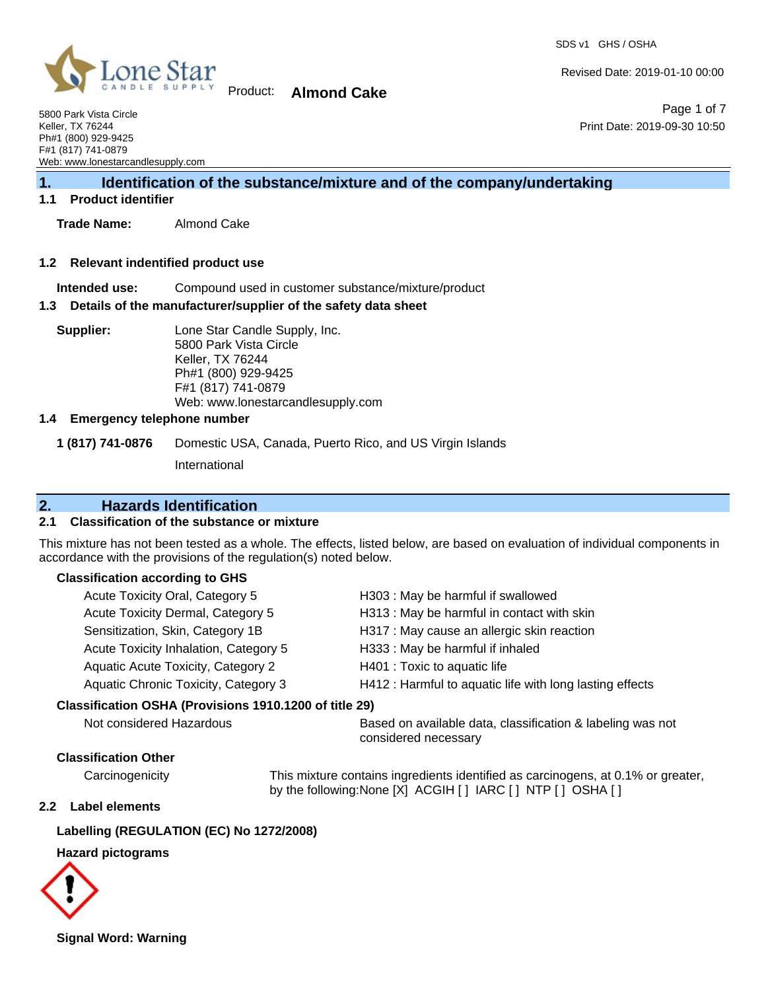Page 1 of 7

Print Date: 2019-09-30 10:50

Revised Date: 2019-01-10 00:00



Product: **Almond Cake**

5800 Park Vista Circle Keller, TX 76244 Ph#1 (800) 929-9425 F#1 (817) 741-0879 Web: www.lonestarcandlesupply.com

# **1. Identification of the substance/mixture and of the company/undertaking**

### **1.1 Product identifier**

**Trade Name:** Almond Cake

#### **1.2 Relevant indentified product use**

**Intended use:** Compound used in customer substance/mixture/product

#### **1.3 Details of the manufacturer/supplier of the safety data sheet**

**Supplier:** Lone Star Candle Supply, Inc. 5800 Park Vista Circle Keller, TX 76244 Ph#1 (800) 929-9425 F#1 (817) 741-0879 Web: www.lonestarcandlesupply.com

### **1.4 Emergency telephone number**

**1 (817) 741-0876** Domestic USA, Canada, Puerto Rico, and US Virgin Islands

International

# **2. Hazards Identification**

### **2.1 Classification of the substance or mixture**

This mixture has not been tested as a whole. The effects, listed below, are based on evaluation of individual components in accordance with the provisions of the regulation(s) noted below.

#### **Classification according to GHS**

| Acute Toxicity Oral, Category 5                        |  | H303: May be harmful if swallowed                                                  |
|--------------------------------------------------------|--|------------------------------------------------------------------------------------|
| Acute Toxicity Dermal, Category 5                      |  | H313: May be harmful in contact with skin                                          |
| Sensitization, Skin, Category 1B                       |  | H317 : May cause an allergic skin reaction                                         |
| Acute Toxicity Inhalation, Category 5                  |  | H333: May be harmful if inhaled                                                    |
| <b>Aquatic Acute Toxicity, Category 2</b>              |  | H401 : Toxic to aquatic life                                                       |
| Aquatic Chronic Toxicity, Category 3                   |  | H412 : Harmful to aquatic life with long lasting effects                           |
| Classification OSHA (Provisions 1910.1200 of title 29) |  |                                                                                    |
| Not considered Hazardous                               |  | Based on available data, classification & labeling was not<br>considered necessary |
| <b>Classification Other</b>                            |  |                                                                                    |
| Carcinogenicity                                        |  | This mixture contains ingredients identified as carcinogens, at 0.1% or greater,   |

by the following:None [X] ACGIH [ ] IARC [ ] NTP [ ] OSHA [ ]

### **2.2 Label elements**

### **Labelling (REGULATION (EC) No 1272/2008)**

# **Hazard pictograms**



**Signal Word: Warning**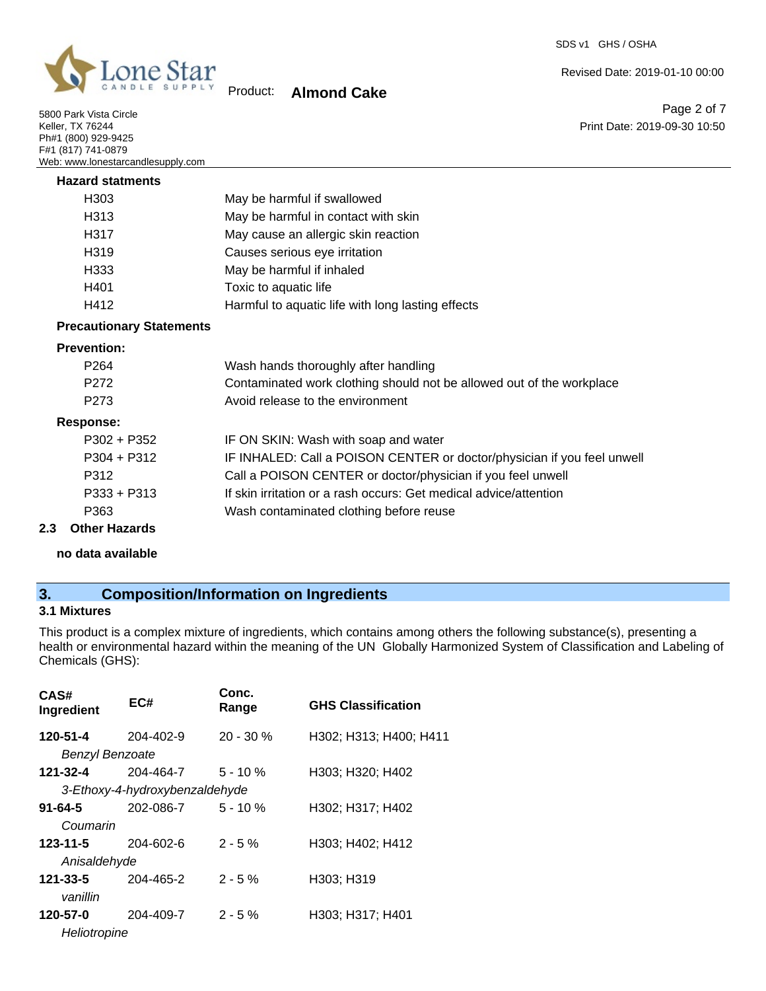

5800 Park Vista Circle Keller, TX 76244 Ph#1 (800) 929-9425 F#1 (817) 741-0879 Web: www.lonestarcandlesupply.com

# Product: **Almond Cake**

Page 2 of 7 Print Date: 2019-09-30 10:50

Revised Date: 2019-01-10 00:00

| <b>Hazard statments</b> |                                                   |
|-------------------------|---------------------------------------------------|
| H <sub>303</sub>        | May be harmful if swallowed                       |
| H <sub>3</sub> 13       | May be harmful in contact with skin               |
| H317                    | May cause an allergic skin reaction               |
| H <sub>319</sub>        | Causes serious eye irritation                     |
| H <sub>333</sub>        | May be harmful if inhaled                         |
| H401                    | Toxic to aquatic life                             |
| H412                    | Harmful to aquatic life with long lasting effects |
|                         |                                                   |

## **Precautionary Statements**

#### **Prevention:**

| P <sub>264</sub> | Wash hands thoroughly after handling                                    |
|------------------|-------------------------------------------------------------------------|
| P <sub>272</sub> | Contaminated work clothing should not be allowed out of the workplace   |
| P <sub>273</sub> | Avoid release to the environment                                        |
| Response:        |                                                                         |
| $P302 + P352$    | IF ON SKIN: Wash with soap and water                                    |
| $P304 + P312$    | IF INHALED: Call a POISON CENTER or doctor/physician if you feel unwell |
| P312             | Call a POISON CENTER or doctor/physician if you feel unwell             |
| $P333 + P313$    | If skin irritation or a rash occurs: Get medical advice/attention       |
| P363             | Wash contaminated clothing before reuse                                 |
|                  |                                                                         |

# **2.3 Other Hazards**

**no data available**

# **3. Composition/Information on Ingredients**

# **3.1 Mixtures**

This product is a complex mixture of ingredients, which contains among others the following substance(s), presenting a health or environmental hazard within the meaning of the UN Globally Harmonized System of Classification and Labeling of Chemicals (GHS):

| CAS#<br>Ingredient     | EC#                            | Conc.<br>Range | <b>GHS Classification</b> |
|------------------------|--------------------------------|----------------|---------------------------|
| 120-51-4               | 204-402-9                      | $20 - 30 \%$   | H302; H313; H400; H411    |
| <b>Benzyl Benzoate</b> |                                |                |                           |
| 121-32-4               | 204-464-7                      | $5 - 10 \%$    | H303; H320; H402          |
|                        | 3-Ethoxy-4-hydroxybenzaldehyde |                |                           |
| $91 - 64 - 5$          | 202-086-7                      | $5 - 10%$      | H302; H317; H402          |
| Coumarin               |                                |                |                           |
| 123-11-5               | $204 - 602 - 6$                | $2 - 5%$       | H303; H402; H412          |
| Anisaldehyde           |                                |                |                           |
| 121-33-5               | 204-465-2                      | $2 - 5%$       | H303; H319                |
| vanillin               |                                |                |                           |
| 120-57-0               | 204-409-7                      | $2 - 5%$       | H303; H317; H401          |
| Heliotropine           |                                |                |                           |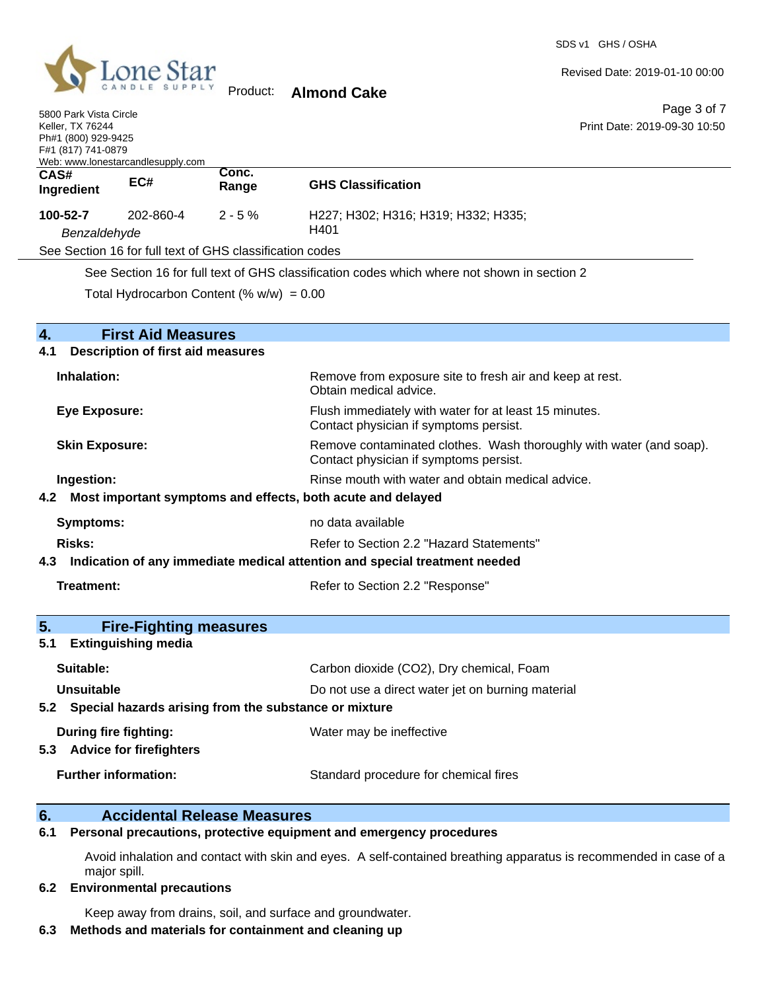

5800 Park Vista Circle

Revised Date: 2019-01-10 00:00

Page 3 of 7 Print Date: 2019-09-30 10:50

| <b>Keller, TX 76244</b><br>Ph#1 (800) 929-9425<br>F#1 (817) 741-0879<br>Web: www.lonestarcandlesupply.com               |                                                             |                                                           | Print Date: 2019-09-30 10:50                                                                                  |
|-------------------------------------------------------------------------------------------------------------------------|-------------------------------------------------------------|-----------------------------------------------------------|---------------------------------------------------------------------------------------------------------------|
| CAS#<br>Ingredient                                                                                                      | EC#                                                         | Conc.<br>Range                                            | <b>GHS Classification</b>                                                                                     |
| 100-52-7<br>Benzaldehyde                                                                                                | 202-860-4                                                   | $2 - 5%$                                                  | H227; H302; H316; H319; H332; H335;<br>H401                                                                   |
|                                                                                                                         |                                                             | See Section 16 for full text of GHS classification codes  |                                                                                                               |
|                                                                                                                         |                                                             |                                                           | See Section 16 for full text of GHS classification codes which where not shown in section 2                   |
|                                                                                                                         |                                                             | Total Hydrocarbon Content (% $w/w$ ) = 0.00               |                                                                                                               |
| $\overline{4}$ .                                                                                                        | <b>First Aid Measures</b>                                   |                                                           |                                                                                                               |
| 4.1                                                                                                                     | <b>Description of first aid measures</b>                    |                                                           |                                                                                                               |
| Inhalation:                                                                                                             |                                                             |                                                           | Remove from exposure site to fresh air and keep at rest.<br>Obtain medical advice.                            |
| Flush immediately with water for at least 15 minutes.<br><b>Eye Exposure:</b><br>Contact physician if symptoms persist. |                                                             |                                                           |                                                                                                               |
| <b>Skin Exposure:</b>                                                                                                   |                                                             |                                                           | Remove contaminated clothes. Wash thoroughly with water (and soap).<br>Contact physician if symptoms persist. |
| Ingestion:                                                                                                              |                                                             |                                                           | Rinse mouth with water and obtain medical advice.                                                             |
| 4.2                                                                                                                     |                                                             |                                                           | Most important symptoms and effects, both acute and delayed                                                   |
| Symptoms:                                                                                                               |                                                             |                                                           | no data available                                                                                             |
| <b>Risks:</b><br>Refer to Section 2.2 "Hazard Statements"                                                               |                                                             |                                                           |                                                                                                               |
| 4.3                                                                                                                     |                                                             |                                                           | Indication of any immediate medical attention and special treatment needed                                    |
| Treatment:                                                                                                              |                                                             |                                                           | Refer to Section 2.2 "Response"                                                                               |
|                                                                                                                         |                                                             |                                                           |                                                                                                               |
| 5.<br>5.1                                                                                                               | <b>Fire-Fighting measures</b><br><b>Extinguishing media</b> |                                                           |                                                                                                               |
| Suitable:                                                                                                               |                                                             |                                                           | Carbon dioxide (CO2), Dry chemical, Foam                                                                      |
| <b>Unsuitable</b>                                                                                                       |                                                             |                                                           | Do not use a direct water jet on burning material                                                             |
|                                                                                                                         |                                                             | 5.2 Special hazards arising from the substance or mixture |                                                                                                               |

**Further information:** Standard procedure for chemical fires

**During fire fighting:** Water may be ineffective

#### **6. Accidental Release Measures**

#### **6.1 Personal precautions, protective equipment and emergency procedures**

Avoid inhalation and contact with skin and eyes. A self-contained breathing apparatus is recommended in case of a major spill.

#### **6.2 Environmental precautions**

**5.3 Advice for firefighters**

Keep away from drains, soil, and surface and groundwater.

# **6.3 Methods and materials for containment and cleaning up**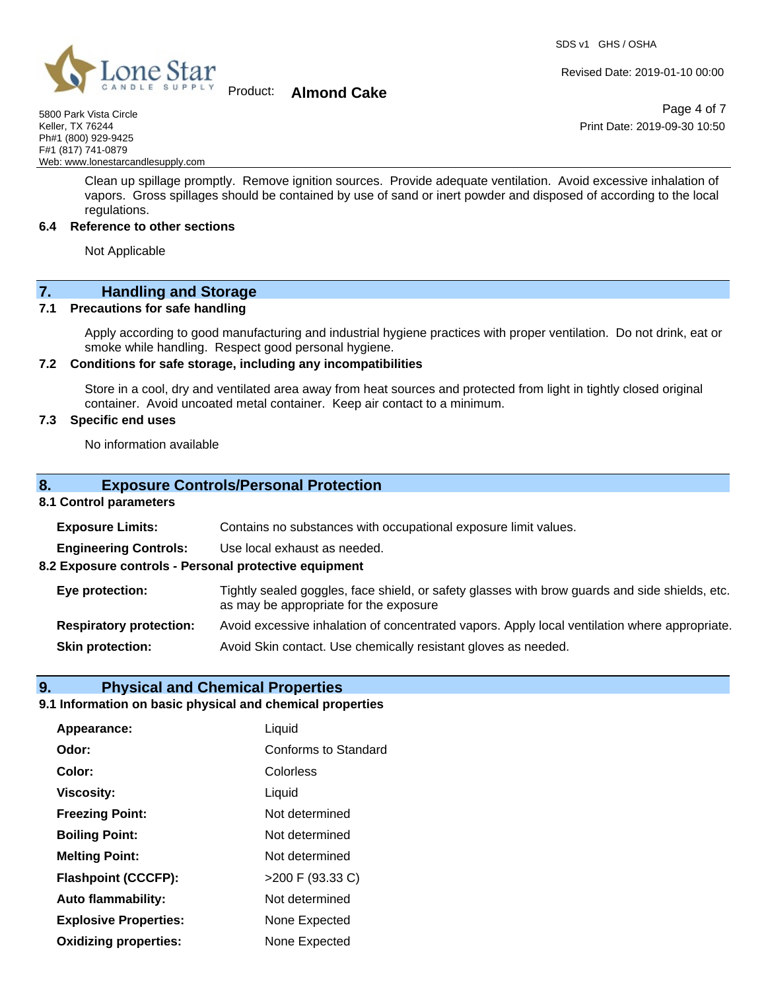

# Product: **Almond Cake**

5800 Park Vista Circle Keller, TX 76244 Ph#1 (800) 929-9425 F#1 (817) 741-0879 Web: www.lonestarcandlesupply.com

> Clean up spillage promptly. Remove ignition sources. Provide adequate ventilation. Avoid excessive inhalation of vapors. Gross spillages should be contained by use of sand or inert powder and disposed of according to the local regulations.

#### **6.4 Reference to other sections**

Not Applicable

**7. Handling and Storage** 

#### **7.1 Precautions for safe handling**

Apply according to good manufacturing and industrial hygiene practices with proper ventilation. Do not drink, eat or smoke while handling. Respect good personal hygiene.

### **7.2 Conditions for safe storage, including any incompatibilities**

Store in a cool, dry and ventilated area away from heat sources and protected from light in tightly closed original container. Avoid uncoated metal container. Keep air contact to a minimum.

### **7.3 Specific end uses**

No information available

### **8. Exposure Controls/Personal Protection**

### **8.1 Control parameters**

| <b>Exposure Limits:</b>                               | Contains no substances with occupational exposure limit values.                                                                          |
|-------------------------------------------------------|------------------------------------------------------------------------------------------------------------------------------------------|
| <b>Engineering Controls:</b>                          | Use local exhaust as needed.                                                                                                             |
| 8.2 Exposure controls - Personal protective equipment |                                                                                                                                          |
| Eye protection:                                       | Tightly sealed goggles, face shield, or safety glasses with brow guards and side shields, etc.<br>as may be appropriate for the exposure |
| <b>Respiratory protection:</b>                        | Avoid excessive inhalation of concentrated vapors. Apply local ventilation where appropriate.                                            |
| <b>Skin protection:</b>                               | Avoid Skin contact. Use chemically resistant gloves as needed.                                                                           |

### **9. Physical and Chemical Properties**

#### **9.1 Information on basic physical and chemical properties**

| Appearance:                  | Liquid               |
|------------------------------|----------------------|
| Odor:                        | Conforms to Standard |
| Color:                       | Colorless            |
| <b>Viscosity:</b>            | Liquid               |
| <b>Freezing Point:</b>       | Not determined       |
| <b>Boiling Point:</b>        | Not determined       |
| <b>Melting Point:</b>        | Not determined       |
| <b>Flashpoint (CCCFP):</b>   | >200 F (93.33 C)     |
| Auto flammability:           | Not determined       |
| <b>Explosive Properties:</b> | None Expected        |
| <b>Oxidizing properties:</b> | None Expected        |

Revised Date: 2019-01-10 00:00

Page 4 of 7 Print Date: 2019-09-30 10:50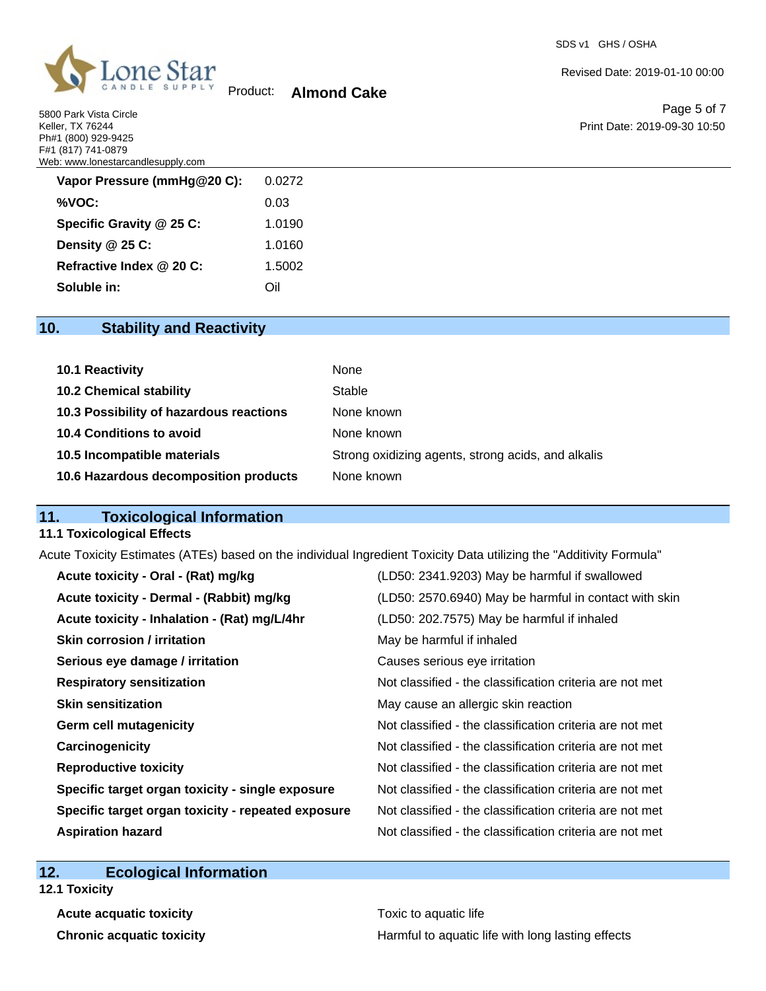5800 Park Vista Circle Keller, TX 76244 Ph#1 (800) 929-9425 F#1 (817) 741-0879 Web: www.lonestarcandlesupply.com

| Vapor Pressure (mmHg@20 C): | 0.0272 |
|-----------------------------|--------|
| %VOC:                       | 0.03   |
| Specific Gravity @ 25 C:    | 1.0190 |
| Density @ 25 C:             | 1.0160 |
| Refractive Index @ 20 C:    | 1.5002 |
| Soluble in:                 | ∩il    |

Product: **Almond Cake**

SDS v1 GHS / OSHA

Revised Date: 2019-01-10 00:00

Page 5 of 7 Print Date: 2019-09-30 10:50

# **10. Stability and Reactivity**

| <b>10.1 Reactivity</b>                  | None                                               |
|-----------------------------------------|----------------------------------------------------|
| <b>10.2 Chemical stability</b>          | Stable                                             |
| 10.3 Possibility of hazardous reactions | None known                                         |
| <b>10.4 Conditions to avoid</b>         | None known                                         |
| 10.5 Incompatible materials             | Strong oxidizing agents, strong acids, and alkalis |
| 10.6 Hazardous decomposition products   | None known                                         |

# **11. Toxicological Information**

## **11.1 Toxicological Effects**

Acute Toxicity Estimates (ATEs) based on the individual Ingredient Toxicity Data utilizing the "Additivity Formula"

| Acute toxicity - Oral - (Rat) mg/kg                | (LD50: 2341.9203) May be harmful if swallowed            |
|----------------------------------------------------|----------------------------------------------------------|
| Acute toxicity - Dermal - (Rabbit) mg/kg           | (LD50: 2570.6940) May be harmful in contact with skin    |
| Acute toxicity - Inhalation - (Rat) mg/L/4hr       | (LD50: 202.7575) May be harmful if inhaled               |
| <b>Skin corrosion / irritation</b>                 | May be harmful if inhaled                                |
| Serious eye damage / irritation                    | Causes serious eye irritation                            |
| <b>Respiratory sensitization</b>                   | Not classified - the classification criteria are not met |
| <b>Skin sensitization</b>                          | May cause an allergic skin reaction                      |
| <b>Germ cell mutagenicity</b>                      | Not classified - the classification criteria are not met |
| Carcinogenicity                                    | Not classified - the classification criteria are not met |
| <b>Reproductive toxicity</b>                       | Not classified - the classification criteria are not met |
| Specific target organ toxicity - single exposure   | Not classified - the classification criteria are not met |
| Specific target organ toxicity - repeated exposure | Not classified - the classification criteria are not met |
| <b>Aspiration hazard</b>                           | Not classified - the classification criteria are not met |

# **12. Ecological Information**

**12.1 Toxicity**

**Acute acquatic toxicity Toxic to aquatic life** 

**Chronic acquatic toxicity Harmful to aquatic life with long lasting effects**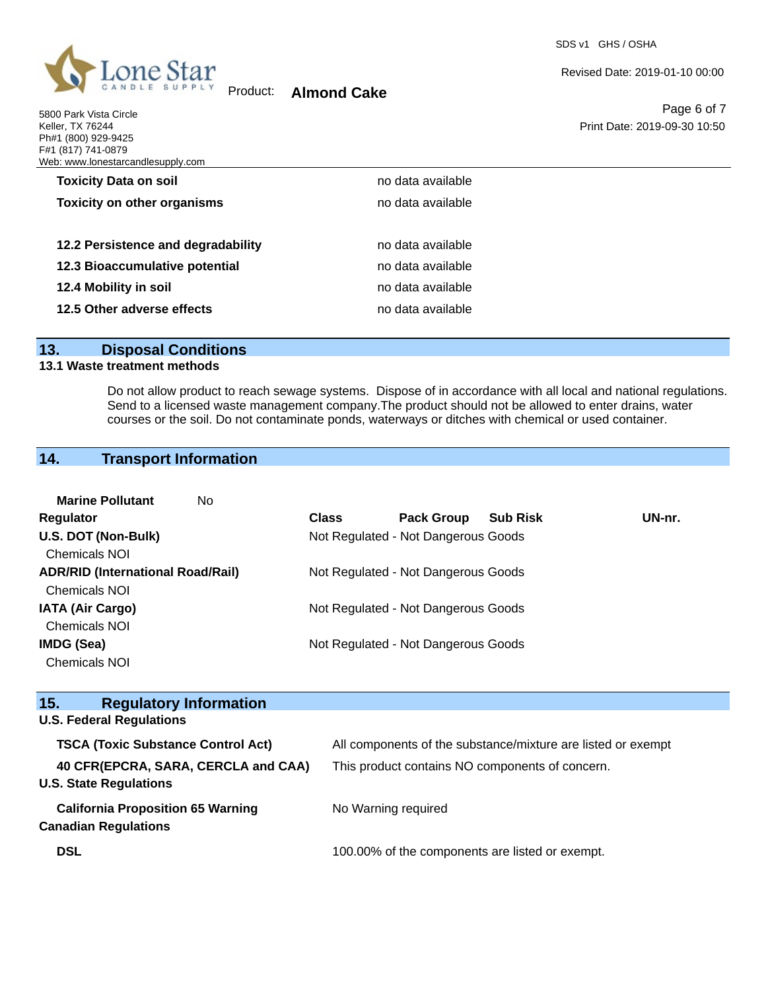

Product: **Almond Cake**

5800 Park Vista Circle Keller, TX 76244 Ph#1 (800) 929-9425 F#1 (817) 741-0879 Web: www.lonestarcandlesupply.com Revised Date: 2019-01-10 00:00

Page 6 of 7 Print Date: 2019-09-30 10:50

| /eb: www.lonestarcandlesupply.com  |                   |  |
|------------------------------------|-------------------|--|
| <b>Toxicity Data on soil</b>       | no data available |  |
| <b>Toxicity on other organisms</b> | no data available |  |
|                                    |                   |  |
| 12.2 Persistence and degradability | no data available |  |
| 12.3 Bioaccumulative potential     | no data available |  |
| 12.4 Mobility in soil              | no data available |  |
| 12.5 Other adverse effects         | no data available |  |

# **13. Disposal Conditions**

#### **13.1 Waste treatment methods**

Do not allow product to reach sewage systems. Dispose of in accordance with all local and national regulations. Send to a licensed waste management company.The product should not be allowed to enter drains, water courses or the soil. Do not contaminate ponds, waterways or ditches with chemical or used container.

# **14. Transport Information**

| <b>Marine Pollutant</b><br>No.           |              |                                     |                 |        |
|------------------------------------------|--------------|-------------------------------------|-----------------|--------|
| Regulator                                | <b>Class</b> | <b>Pack Group</b>                   | <b>Sub Risk</b> | UN-nr. |
| U.S. DOT (Non-Bulk)                      |              | Not Regulated - Not Dangerous Goods |                 |        |
| <b>Chemicals NOI</b>                     |              |                                     |                 |        |
| <b>ADR/RID (International Road/Rail)</b> |              | Not Regulated - Not Dangerous Goods |                 |        |
| Chemicals NOI                            |              |                                     |                 |        |
| <b>IATA (Air Cargo)</b>                  |              | Not Regulated - Not Dangerous Goods |                 |        |
| <b>Chemicals NOI</b>                     |              |                                     |                 |        |
| <b>IMDG (Sea)</b>                        |              | Not Regulated - Not Dangerous Goods |                 |        |
| <b>Chemicals NOI</b>                     |              |                                     |                 |        |

| 15.<br><b>Regulatory Information</b>      |                                                              |
|-------------------------------------------|--------------------------------------------------------------|
| <b>U.S. Federal Regulations</b>           |                                                              |
| <b>TSCA (Toxic Substance Control Act)</b> | All components of the substance/mixture are listed or exempt |
| 40 CFR(EPCRA, SARA, CERCLA and CAA)       | This product contains NO components of concern.              |
| <b>U.S. State Regulations</b>             |                                                              |
| <b>California Proposition 65 Warning</b>  | No Warning required                                          |
| <b>Canadian Regulations</b>               |                                                              |
| <b>DSL</b>                                | 100.00% of the components are listed or exempt.              |